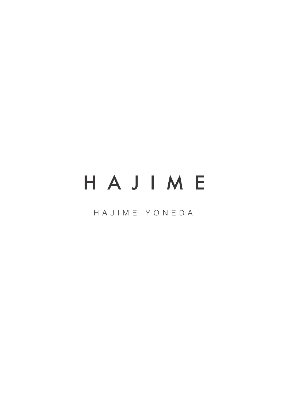# HAJIME

HAJIME YONEDA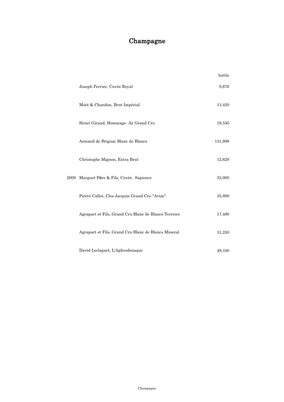#### Champagne

|      |                                                      | bottle  |
|------|------------------------------------------------------|---------|
|      | Joseph Perrier, Cuvée Royal                          | 9,676   |
|      | Moët & Chandon, Brut Impérial                        | 13,420  |
|      | Henri Giraud, Hommage Aÿ Grand Cru                   | 19,550  |
|      | Armand de Brignac Blanc de Blancs                    | 131,898 |
|      | Christophe Mignon, Extra Brut                        | 12,629  |
| 2009 | Marguet Père & Fils, Cuvée Sapience                  | 55,000  |
|      | Pierre Callot, Clos Jacquin Grand Cru "Avize"        | 35,800  |
|      | Agrapart et Fils, Grand Cru Blanc de Blancs Terroirs | 17,480  |
|      | Agrapart et Fils, Grand Cru Blanc de Blancs Mineral  | 31,250  |
|      | David Leclapart, L'Aphrodisiaque                     | 49,100  |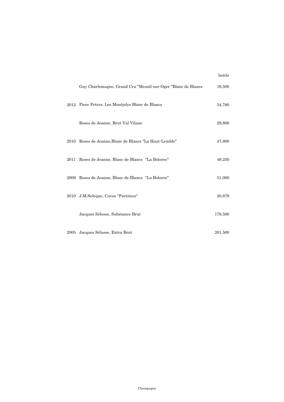|      |                                                              | bottle  |
|------|--------------------------------------------------------------|---------|
|      | Guy Charlemagne, Grand Cru "Mesnil-sur-Oger "Blanc de Blancs | 16,500  |
|      | 2012 Piere Peters, Les Montjolys Blanc de Blancs             | 54,780  |
|      | Roses de Jeanne, Brut Val Vilane                             | 29,800  |
|      | 2010 Roses de Jeanne, Blanc de Blancs "La Haut-Lemble"       | 47,800  |
|      | 2011 Roses de Jeanne, Blanc de Blancs "La Boloree"           | 49,250  |
|      | 2009 Roses de Jeanne, Blanc de Blancs "La Boloree"           | 51,000  |
|      | 2010 J.M.Seleque, Cuvee "Partition"                          | 20,879  |
|      | Jacques Sélosse, Substance Brut                              | 179,500 |
| 2005 | Jacques Sélosse, Extra Brut                                  | 201,500 |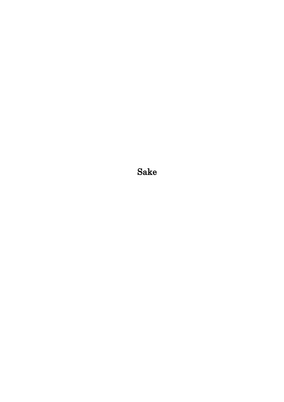Sake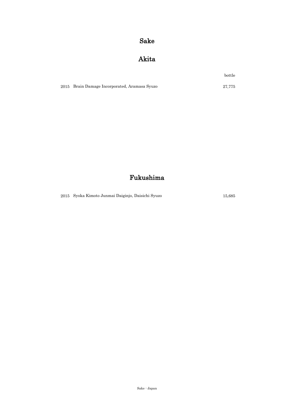#### Sake

#### Akita

bottle

2015 27,775 Brain Damage Incorporated, Aramasa Syuzo

#### Fukushima

2015 15,685 Syoka Kimoto Junmai Daiginjo, Daisichi Syuzo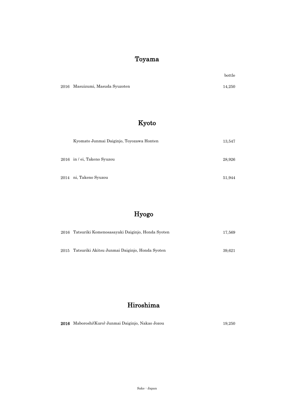#### Toyama

|                                 | bottle |
|---------------------------------|--------|
| 2016 Masuizumi, Masuda Syuzoten | 14.250 |

#### Kyoto

| Kyomato Junmai Daiginjo, Toyozawa Honten | 13,547 |
|------------------------------------------|--------|
| 2016 in / ei, Takeno Syuzou              | 28,926 |
| 2014   ni, Takeno Syuzou                 | 51,944 |

### Hyogo

| 2016 Tatsuriki Komenosasayaki Daiginjo, Honda Syoten | 17.569 |
|------------------------------------------------------|--------|
|                                                      |        |
| 2015 Tatsuriki Akitsu Junmai Daiginjo, Honda Syoten  | 39.621 |

#### Hiroshima

|  | 2016 Maboroshi(Kuro) Junmai Daiginjo, Nakao Jozou | 19.250 |
|--|---------------------------------------------------|--------|
|--|---------------------------------------------------|--------|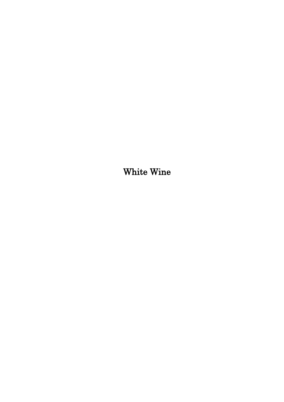White Wine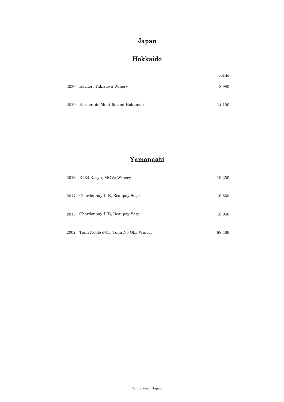#### Japan

#### Hokkaido

|      |                                  | bottle |
|------|----------------------------------|--------|
|      | 2020 Kerner, Takizawa Winery     | 8,980  |
|      |                                  |        |
| 2019 | Kerner, de Montille and Hokkaido | 14.190 |

#### Yamanashi

| 2016 | K234 Kosyu, MGVs Winery             | 19,250 |
|------|-------------------------------------|--------|
| 2017 | Chardonnay LIB, Beaupay Sage        | 16,850 |
| 2015 | Chardonnay LIB, Beaupay Sage        | 18,960 |
| 2002 | Tomi Noble d'Or, Tomi No Oka Winery | 88,469 |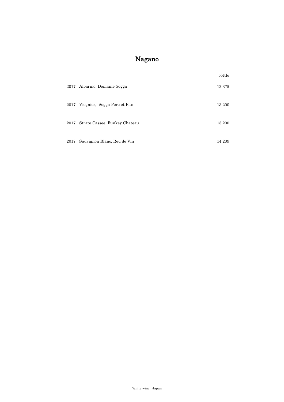#### Nagano

|      |                               | bottle |
|------|-------------------------------|--------|
| 2017 | Albarino, Domaine Sogga       | 12,375 |
| 2017 | Viognier, Sogga Pere et Fits  | 13,200 |
| 2017 | Strate Cassee, Funkey Chateau | 13,200 |
| 2017 | Sauvignon Blanc, Reu de Vin   | 14,209 |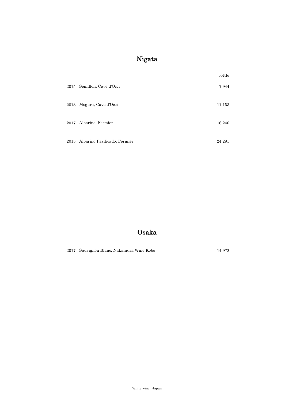#### Nigata

|      |                              | bottle |
|------|------------------------------|--------|
| 2015 | Semillon, Cave d'Occi        | 7,944  |
| 2018 | Mogura, Cave d'Occi          | 11,153 |
| 2017 | Albarino, Fermier            | 16,246 |
| 2015 | Albarino Pasificado, Fermier | 24,291 |

#### Osaka

2017 14,972 Sauvignon Blanc, Nakamura Wine Kobo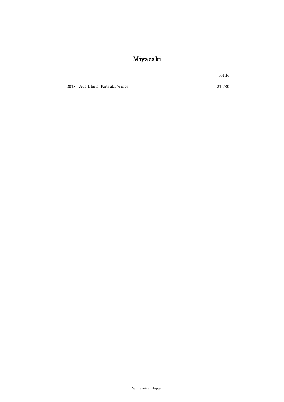#### Miyazaki

bottle

2018 21,780 Aya Blanc, Katsuki Wines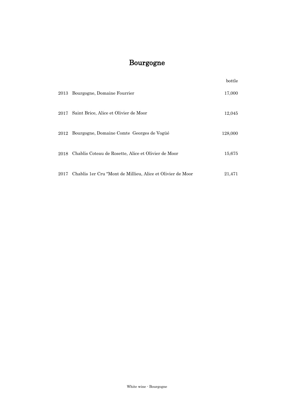## Bourgogne

|      |                                                            | bottle  |
|------|------------------------------------------------------------|---------|
| 2013 | Bourgogne, Domaine Fourrier                                | 17,000  |
| 2017 | Saint Brice, Alice et Olivier de Moor                      | 12,045  |
| 2012 | Bourgogne, Domaine Comte Georges de Vogüé                  | 128,000 |
| 2018 | Chablis Coteau de Rosette, Alice et Olivier de Moor        | 15,675  |
| 2017 | Chablis 1er Cru "Mont de Millieu, Alice et Olivier de Moor | 21,471  |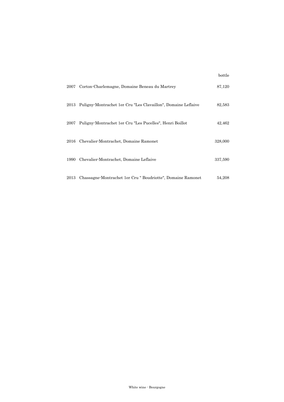|      |                                                               | bottle  |
|------|---------------------------------------------------------------|---------|
| 2007 | Corton-Charlemagne, Domaine Beneau du Martrey                 | 87,120  |
| 2013 | Puligny-Montrachet 1er Cru "Les Clavaillon", Domaine Leflaive | 82,583  |
| 2007 | Puligny-Montrachet 1er Cru "Les Pucelles", Henri Boillot      | 42,462  |
| 2016 | Chevalier-Montrachet, Domaine Ramonet                         | 328,000 |
| 1990 | Chevalier-Montrachet, Domaine Leflaive                        | 337,590 |
| 2013 | Chassagne-Montrachet 1er Cru " Boudriotte", Domaine Ramonet   | 54,208  |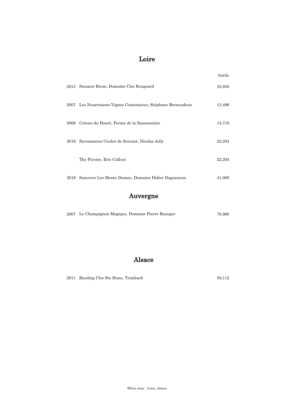#### Loire

|      |                                                              | bottle |
|------|--------------------------------------------------------------|--------|
| 2013 | Saumur Breze, Domaine Clos Rougeard                          | 33,850 |
|      | 2007 Les Nourrissons Vignes Centenaires, Stéphane Bernaudeau | 13,496 |
| 2006 | Coteau du Houet, Ferme de la Sansonnière                     | 14,718 |
| 2016 | Savennieres Coulee de Serrant, Nicolas Jolly                 | 22,204 |
|      | The Picrate, Eric Callcut                                    | 22,204 |
| 2016 | Sancerre Les Monts Damne, Domaine Didier Dagueneau           | 41,000 |

#### Auvergne

|  | 2007 Le Champignon Magique, Domaine Pierre Beauger | 78.980 |
|--|----------------------------------------------------|--------|
|--|----------------------------------------------------|--------|

#### Alsace

2011 Riesling Clos Ste Hune, Trimbach 50,112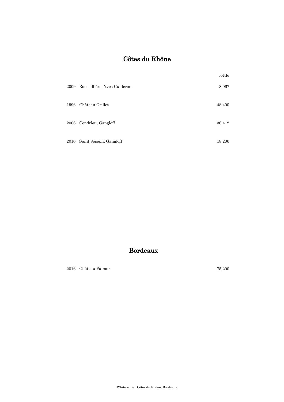#### Côtes du Rhône

|      |                              | bottle |
|------|------------------------------|--------|
| 2009 | Roussillière, Yves Cuilleron | 8,067  |
| 1996 | Château Grillet              | 48,400 |
| 2006 | Condrieu, Gangloff           | 36,412 |
| 2010 | Saint-Joseph, Gangloff       | 18,206 |

#### Bordeaux

2016 75,200 Château Palmer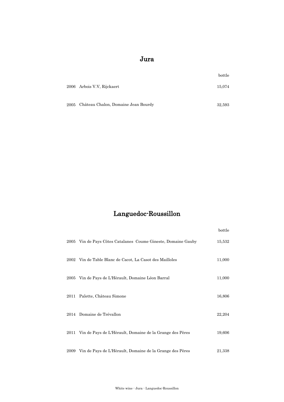#### Jura

|      |                                     | bottle |
|------|-------------------------------------|--------|
|      | 2006 Arbois V.V. Rijckaert          | 15,074 |
|      |                                     |        |
| 2005 | Château Chalon, Domaine Jean Bourdy | 32,593 |

### Languedoc-Roussillon

|      |                                                          | bottle |
|------|----------------------------------------------------------|--------|
| 2005 | Vin de Pays Côtes Catalanes Coume Gineste, Domaine Gauby | 15,532 |
| 2002 | Vin de Table Blanc de Cacot, La Casot des Mailloles      | 11,000 |
| 2005 | Vin de Pays de L'Hèrault, Domaine Léon Barral            | 11,000 |
| 2011 | Palette, Château Simone                                  | 16,806 |
|      | 2014 Domaine de Trévallon                                | 22,204 |
| 2011 | Vin de Pays de L'Hèrault, Domaine de la Grange des Pères | 19,606 |
| 2009 | Vin de Pays de L'Hèrault, Domaine de la Grange des Pères | 21,338 |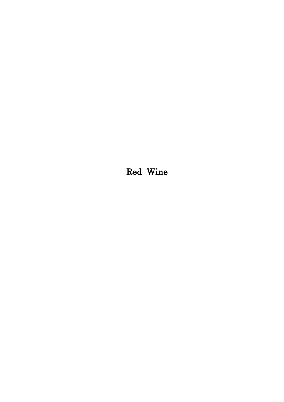Red Wine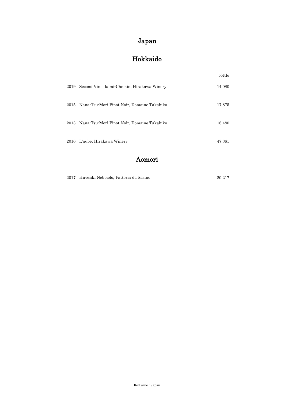#### Japan

#### Hokkaido

|      |                                                 | bottle |
|------|-------------------------------------------------|--------|
| 2019 | Second Vin a la mi-Chemin, Hirakawa Winery      | 14,080 |
| 2015 | Nana-Tsu-Mori Pinot Noir, Domaine Takahiko      | 17,875 |
|      | 2013 Nana-Tsu-Mori Pinot Noir, Domaine Takahiko | 18,480 |
|      | 2016 L'aube, Hirakawa Winery                    | 47,361 |

#### Aomori

|  | 2017 Hirosaki Nebbiolo, Fattoria da Sasino | 20.217 |
|--|--------------------------------------------|--------|
|--|--------------------------------------------|--------|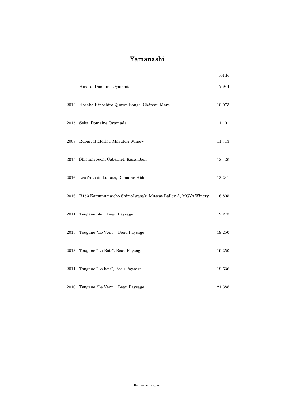#### Yamanashi

|          |                                                              | bottle |
|----------|--------------------------------------------------------------|--------|
|          | Hinata, Domaine Oyamada                                      | 7,944  |
| 2012     | Hosaka Hinoshiro Quatre Rouge, Château Mars                  | 10,073 |
| $2015\,$ | Seba, Domaine Oyamada                                        | 11,101 |
|          | 2008 Rubaiyat Merlot, Marufuji Winery                        | 11,713 |
| 2015     | Shichihyouchi Cabernet, Kurambon                             | 12,426 |
|          | 2016 Les frots de Laputa, Domaine Hide                       | 13,241 |
| 2016     | B153 Katsunuma cho ShimoIwasaki Muscat Bailey A, MGVs Winery | 16,805 |
| 2011     | Tsugane-bleu, Beau Paysage                                   | 12,273 |
| 2013     | Tsugane "Le Vent", Beau Paysage                              | 19,250 |
| 2013     | Tsugane "La Bois", Beau Paysage                              | 19,250 |
| 2011     | Tsugane "La bois", Beau Paysage                              | 19,636 |
|          | 2010 Tsugane "Le Vent", Beau Paysage                         | 21,388 |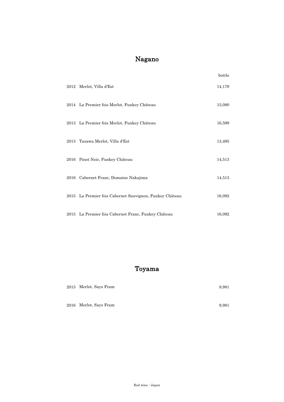#### Nagano

|      |                                                         | bottle |
|------|---------------------------------------------------------|--------|
|      | 2012 Merlot, Villa d'Est                                | 14,179 |
|      | 2014 La Premier fois Merlot, Funkey Château             | 15,080 |
|      | 2013 La Premier fois Merlot, Funkey Château             | 16,599 |
| 2013 | Tazawa Merlot, Villa d'Est                              | 13,495 |
| 2016 | Pinot Noir, Funkey Château                              | 14,513 |
| 2016 | Cabernet Franc, Domaine Nakajima                        | 14,513 |
|      | 2015 La Premier fois Cabernet Sauvignon, Funkey Château | 16,092 |
|      | 2015 La Premier fois Cabernet Franc, Funkey Château     | 16,092 |

#### Toyama

| 2015 Merlot, Says Fram | 9.981 |
|------------------------|-------|
|                        |       |
| 2016 Merlot, Says Fram | 9.981 |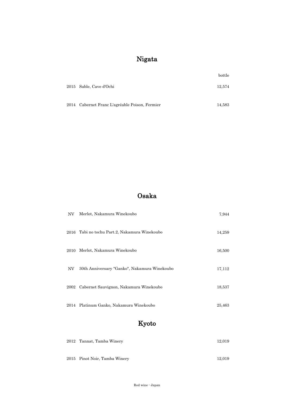#### Nigata

|                                                | bottle |
|------------------------------------------------|--------|
| 2015 Sable, Cave d'Ochi                        | 12.574 |
|                                                |        |
| 2014 Cabernet Franc L'agréable Poison, Fermier | 14,583 |

#### Osaka

| NV   | Merlot, Nakamura Winekoubo                   | 7,944  |
|------|----------------------------------------------|--------|
| 2016 | Tabi no tochu Part.2, Nakamura Winekoubo     | 14,259 |
| 2010 | Merlot, Nakamura Winekoubo                   | 16,500 |
| NV   | 30th Anniversary "Ganko", Nakamura Winekoubo | 17,112 |
| 2002 | Cabernet Sauvignon, Nakamura Winekoubo       | 18,537 |
| 2014 | Platinum Ganko, Nakamura Winekoubo           | 25,463 |

#### Kyoto

| 2012 Tannat, Tamba Winery     | 12.019 |
|-------------------------------|--------|
|                               |        |
| 2015 Pinot Noir, Tamba Winery | 12.019 |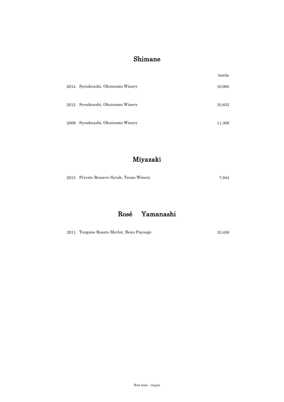#### Shimane

|      |                                  | bottle |
|------|----------------------------------|--------|
|      | 2014 Syoukoushi, Okuizumo Winery | 10,065 |
|      | 2012 Syoukoushi, Okuizumo Winery | 10,835 |
| 2009 | Syoukoushi, Okuizumo Winery      | 11,308 |

#### Miyazaki

|  |  | 2015 Private Reserve Syrah, Tsuno Winery | 7.944 |
|--|--|------------------------------------------|-------|
|--|--|------------------------------------------|-------|

#### Rosé Yamanashi

|  | 2011 Tsugane Rosato Merlot, Beau Paysage |  | 10.450 |
|--|------------------------------------------|--|--------|
|--|------------------------------------------|--|--------|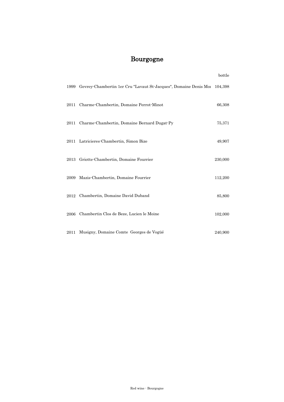#### Bourgogne

|      |                                                                  | bottle  |
|------|------------------------------------------------------------------|---------|
| 1999 | Gevrey-Chambertin 1er Cru "Lavaut St-Jacques", Domaine Denis Moi | 104,398 |
| 2011 | Charme-Chambertin, Domaine Perrot-Minot                          | 66,308  |
| 2011 | Charme-Chambertin, Domaine Bernard Dugat-Py                      | 75,371  |
|      | 2011 Latricieres-Chambertin, Simon Bize                          | 49,907  |
| 2013 | Griotte-Chambertin, Domaine Fourrier                             | 230,000 |
| 2009 | Mazis-Chambertin, Domaine Fourrier                               | 112,200 |
| 2012 | Chambertin, Domaine David Duband                                 | 85,800  |
| 2006 | Chambertin Clos de Beze, Lucien le Moine                         | 102,000 |
| 2011 | Musigny, Domaine Comte Georges de Vogüé                          | 240,900 |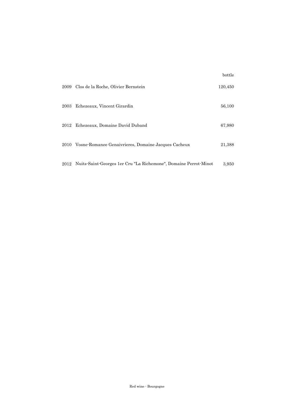| 2009 | Clos de la Roche, Olivier Bernstein                               | 120,450 |
|------|-------------------------------------------------------------------|---------|
| 2003 | Echezeaux, Vincent Girardin                                       | 56,100  |
|      | 2012 Echezeaux, Domaine David Duband                              | 67,980  |
|      | 2010 Vosne-Romanee Genaivrieres, Domaine Jacques Cacheux          | 21,388  |
| 2012 | Nuits-Saint-Georges 1 er Cru "La Richemone", Domaine Perrot-Minot | 3.950   |

bottle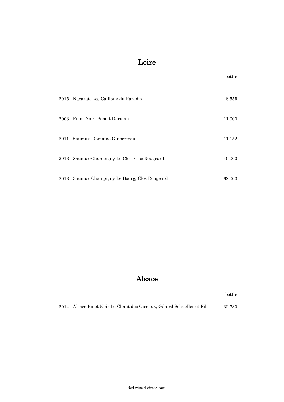#### Loire

|      |                                               | bottle |
|------|-----------------------------------------------|--------|
|      | 2015 Nacarat, Les Cailloux du Paradis         | 8,555  |
| 2003 | Pinot Noir, Benoit Daridan                    | 11,000 |
| 2011 | Saumur, Domaine Guiberteau                    | 11,152 |
| 2013 | Saumur-Champigny Le Clos, Clos Rougeard       | 40,000 |
|      | 2013 Saumur-Champigny Le Bourg, Clos Rougeard | 68,000 |

#### Alsace

bottle

2014 32,780 Alsace Pinot Noir Le Chant des Oiseaux, Gérard Schueller et Fils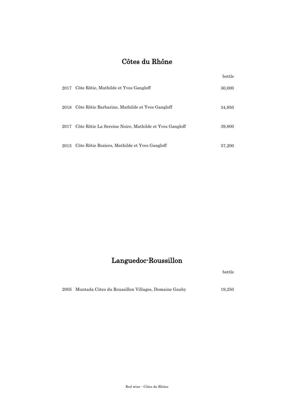#### Côtes du Rhône

|      |                                                        | bottle |
|------|--------------------------------------------------------|--------|
| 2017 | Côte Rôtie, Mathilde et Yves Gangloff                  | 30,000 |
| 2018 | Côte Rôtie Barbarine, Mathilde et Yves Gangloff        | 34,950 |
| 2017 | Côte Rôtie La Sereine Noire, Mathilde et Yves Gangloff | 39,800 |
| 2015 | Côte Rôtie Roziers, Mathilde et Yves Gangloff          | 57,200 |

#### Languedoc-Roussillon

bottle

2005 Muntada Côtes du Roussillon Villages, Domaine Gauby 19,250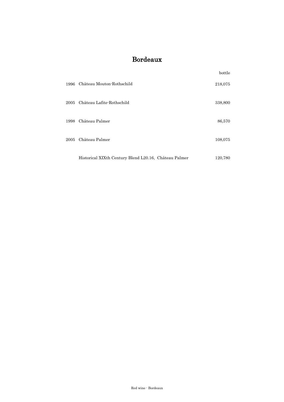#### Bordeaux

|          |                                                       | bottle  |
|----------|-------------------------------------------------------|---------|
| 1996     | Château Mouton-Rothschild                             | 218,075 |
| $2005\,$ | Château Lafite-Rothschild                             | 338,800 |
|          | 1998 Château Palmer                                   | 86,570  |
| 2005     | Château Palmer                                        | 108,075 |
|          | Historical XIXth Century Blend L20.16, Château Palmer | 120,780 |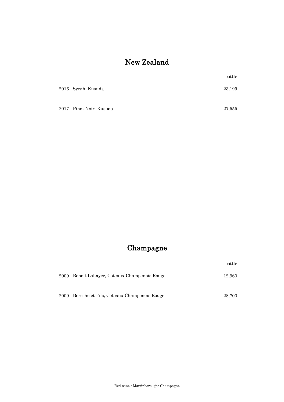#### New Zealand

|                         | bottle |
|-------------------------|--------|
| 2016 Syrah, Kusuda      | 23,199 |
| 2017 Pinot Noir, Kusuda | 27,555 |

#### Champagne

bottle

| 2009 Benoit Lahayer, Coteaux Champenois Rouge  | 12.960 |
|------------------------------------------------|--------|
| 2009 Bereche et Fils, Coteaux Champenois Rouge | 28,700 |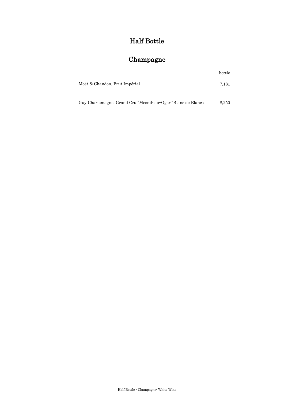#### Half Bottle

#### Champagne

| Moët & Chandon, Brut Impérial | 7.181 |
|-------------------------------|-------|
|                               |       |
|                               |       |

bottle

Guy Charlemagne, Grand Cru "Mesnil-sur-Oger "Blanc de Blancs 8,250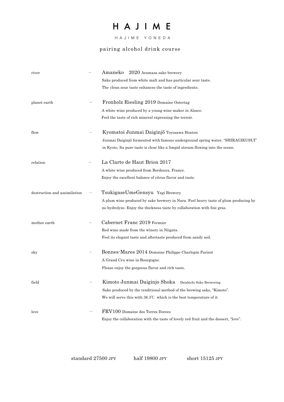# HAJIME

 HAJIME YONEDA

#### pairing alcohol drink course

| river                        | 2020 Aramasa sake brewery<br>Amaneko                                                |
|------------------------------|-------------------------------------------------------------------------------------|
|                              | Sake produced from white malt and has particular sour taste.                        |
|                              | The clean sour taste enhances the taste of ingredients.                             |
| planet earth                 | Fronholz Riesling 2019 Domaine Ostertag                                             |
|                              | A white wine produced by a young wine maker in Alsace.                              |
|                              | Feel the taste of rich mineral expressing the terroir.                              |
| flow                         | Kyomatoi Junmai Daiginjō Toyosawa Honten                                            |
|                              | Junmai Daiginjō fermented with famous underground spring water, "SHIRAGIKUSUI"      |
|                              | in Kyoto. Its pure taste is clear like a limpid stream flowing into the ocean.      |
| relation                     | La Clarte de Haut Brion 2017                                                        |
|                              | A white wine produced from Bordeaux, France.                                        |
|                              | Enjoy the excellent balance of citrus flavor and taste.                             |
| destruction and assimilation | TsukigaseUmeGensyu Yagi Brewery                                                     |
|                              | A plum wine produced by sake brewery in Nara. Feel heavy taste of plum producing by |
|                              | no hydrolyze. Enjoy the thickness taste by collaboration with foie gras.            |
| mother earth                 | Cabernet Franc 2019 Fermier                                                         |
|                              | Red wine made from the winery in Niigata.                                           |
|                              | Feel its elegant taste and aftertaste produced from sandy soil.                     |
| sky                          | Bonnes-Mares 2014 Domaine Philippe Charlopin Parizot                                |
|                              | A Grand Cru wine in Bourgogne.                                                      |
|                              | Please enjoy the gorgeous flavor and rich taste.                                    |
| field                        | Kimoto Junmai Daiginjo Shoka<br>Daishichi Sake Brewering                            |
|                              | Sake produced by the traditional method of the brewing sake, "Kimoto".              |
|                              | We will serve this with $36.3^{\circ}\text{C}$ which is the best temperature of it. |
| love                         | FRV100 Domaine des Terres Dorees                                                    |
|                              | Enjoy the collaboration with the taste of lovely red fruit and the dessert, "love". |